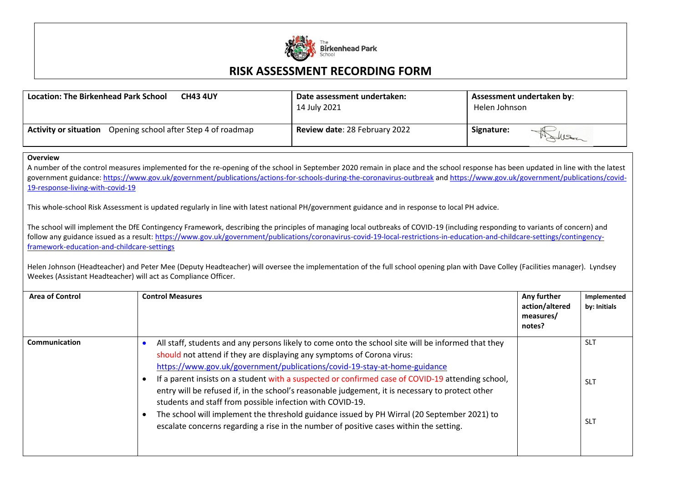

## **RISK ASSESSMENT RECORDING FORM**

| <b>Location: The Birkenhead Park School</b>                         | Date assessment undertaken:   | Assessment undertaken by: |
|---------------------------------------------------------------------|-------------------------------|---------------------------|
| <b>CH43 4UY</b>                                                     | 14 July 2021                  | Helen Johnson             |
| <b>Activity or situation</b> Opening school after Step 4 of roadmap | Review date: 28 February 2022 | Signature:<br>MANISCO     |

## **Overview**

A number of the control measures implemented for the re-opening of the school in September 2020 remain in place and the school response has been updated in line with the latest government guidance[: https://www.gov.uk/government/publications/actions-for-schools-during-the-coronavirus-outbreak](https://www.gov.uk/government/publications/actions-for-schools-during-the-coronavirus-outbreak) an[d https://www.gov.uk/government/publications/covid-](https://www.gov.uk/government/publications/covid-19-response-living-with-covid-19)[19-response-living-with-covid-19](https://www.gov.uk/government/publications/covid-19-response-living-with-covid-19)

This whole-school Risk Assessment is updated regularly in line with latest national PH/government guidance and in response to local PH advice.

The school will implement the DfE Contingency Framework, describing the principles of managing local outbreaks of COVID-19 (including responding to variants of concern) and follow any guidance issued as a result: [https://www.gov.uk/government/publications/coronavirus-covid-19-local-restrictions-in-education-and-childcare-settings/contingency](https://www.gov.uk/government/publications/coronavirus-covid-19-local-restrictions-in-education-and-childcare-settings/contingency-framework-education-and-childcare-settings)[framework-education-and-childcare-settings](https://www.gov.uk/government/publications/coronavirus-covid-19-local-restrictions-in-education-and-childcare-settings/contingency-framework-education-and-childcare-settings)

Helen Johnson (Headteacher) and Peter Mee (Deputy Headteacher) will oversee the implementation of the full school opening plan with Dave Colley (Facilities manager). Lyndsey Weekes (Assistant Headteacher) will act as Compliance Officer.

| <b>Area of Control</b> | <b>Control Measures</b>                                                                                                                                                                                                                                                                                                                                                                                                                                                                                                                                                                                                                                                                                                  | Any further<br>action/altered<br>measures/<br>notes? | Implemented<br>by: Initials            |
|------------------------|--------------------------------------------------------------------------------------------------------------------------------------------------------------------------------------------------------------------------------------------------------------------------------------------------------------------------------------------------------------------------------------------------------------------------------------------------------------------------------------------------------------------------------------------------------------------------------------------------------------------------------------------------------------------------------------------------------------------------|------------------------------------------------------|----------------------------------------|
| Communication          | All staff, students and any persons likely to come onto the school site will be informed that they<br>should not attend if they are displaying any symptoms of Corona virus:<br>https://www.gov.uk/government/publications/covid-19-stay-at-home-guidance<br>If a parent insists on a student with a suspected or confirmed case of COVID-19 attending school,<br>entry will be refused if, in the school's reasonable judgement, it is necessary to protect other<br>students and staff from possible infection with COVID-19.<br>The school will implement the threshold guidance issued by PH Wirral (20 September 2021) to<br>escalate concerns regarding a rise in the number of positive cases within the setting. |                                                      | <b>SLT</b><br><b>SLT</b><br><b>SLT</b> |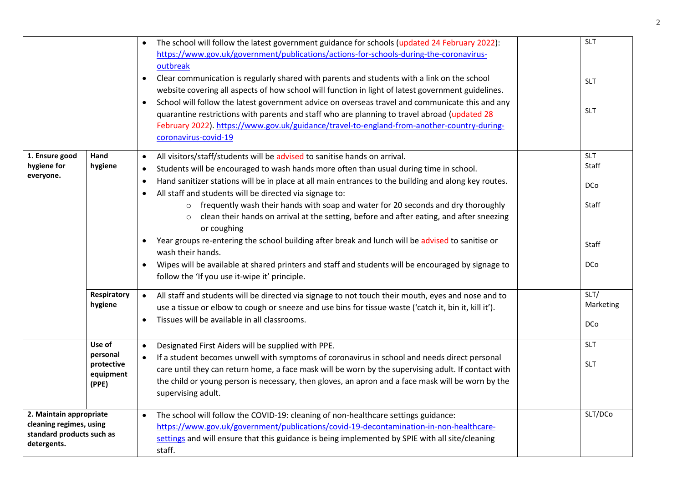|                                          |                        | The school will follow the latest government guidance for schools (updated 24 February 2022):<br>$\bullet$<br>https://www.gov.uk/government/publications/actions-for-schools-during-the-coronavirus-<br>outbreak<br>Clear communication is regularly shared with parents and students with a link on the school<br>$\bullet$<br>website covering all aspects of how school will function in light of latest government guidelines.<br>School will follow the latest government advice on overseas travel and communicate this and any<br>$\bullet$<br>quarantine restrictions with parents and staff who are planning to travel abroad (updated 28<br>February 2022). https://www.gov.uk/guidance/travel-to-england-from-another-country-during-<br>coronavirus-covid-19 | <b>SLT</b><br><b>SLT</b><br><b>SLT</b> |
|------------------------------------------|------------------------|--------------------------------------------------------------------------------------------------------------------------------------------------------------------------------------------------------------------------------------------------------------------------------------------------------------------------------------------------------------------------------------------------------------------------------------------------------------------------------------------------------------------------------------------------------------------------------------------------------------------------------------------------------------------------------------------------------------------------------------------------------------------------|----------------------------------------|
| 1. Ensure good                           | Hand                   | All visitors/staff/students will be advised to sanitise hands on arrival.<br>$\bullet$                                                                                                                                                                                                                                                                                                                                                                                                                                                                                                                                                                                                                                                                                   | <b>SLT</b>                             |
| hygiene for                              | hygiene                | Students will be encouraged to wash hands more often than usual during time in school.<br>$\bullet$                                                                                                                                                                                                                                                                                                                                                                                                                                                                                                                                                                                                                                                                      | Staff                                  |
| everyone.                                |                        | Hand sanitizer stations will be in place at all main entrances to the building and along key routes.<br>$\bullet$                                                                                                                                                                                                                                                                                                                                                                                                                                                                                                                                                                                                                                                        | <b>DCo</b>                             |
|                                          |                        | All staff and students will be directed via signage to:<br>$\bullet$                                                                                                                                                                                                                                                                                                                                                                                                                                                                                                                                                                                                                                                                                                     |                                        |
|                                          |                        | frequently wash their hands with soap and water for 20 seconds and dry thoroughly<br>$\circ$                                                                                                                                                                                                                                                                                                                                                                                                                                                                                                                                                                                                                                                                             | Staff                                  |
|                                          |                        | clean their hands on arrival at the setting, before and after eating, and after sneezing                                                                                                                                                                                                                                                                                                                                                                                                                                                                                                                                                                                                                                                                                 |                                        |
|                                          |                        | or coughing                                                                                                                                                                                                                                                                                                                                                                                                                                                                                                                                                                                                                                                                                                                                                              |                                        |
|                                          |                        | Year groups re-entering the school building after break and lunch will be advised to sanitise or                                                                                                                                                                                                                                                                                                                                                                                                                                                                                                                                                                                                                                                                         | Staff                                  |
|                                          |                        | wash their hands.                                                                                                                                                                                                                                                                                                                                                                                                                                                                                                                                                                                                                                                                                                                                                        |                                        |
|                                          |                        | Wipes will be available at shared printers and staff and students will be encouraged by signage to                                                                                                                                                                                                                                                                                                                                                                                                                                                                                                                                                                                                                                                                       | DCo                                    |
|                                          |                        | follow the 'If you use it-wipe it' principle.                                                                                                                                                                                                                                                                                                                                                                                                                                                                                                                                                                                                                                                                                                                            |                                        |
|                                          | Respiratory            | All staff and students will be directed via signage to not touch their mouth, eyes and nose and to<br>$\bullet$                                                                                                                                                                                                                                                                                                                                                                                                                                                                                                                                                                                                                                                          | SLT/                                   |
|                                          | hygiene                | use a tissue or elbow to cough or sneeze and use bins for tissue waste ('catch it, bin it, kill it').                                                                                                                                                                                                                                                                                                                                                                                                                                                                                                                                                                                                                                                                    | Marketing                              |
|                                          |                        | Tissues will be available in all classrooms.<br>$\bullet$                                                                                                                                                                                                                                                                                                                                                                                                                                                                                                                                                                                                                                                                                                                | <b>DCo</b>                             |
|                                          |                        |                                                                                                                                                                                                                                                                                                                                                                                                                                                                                                                                                                                                                                                                                                                                                                          |                                        |
|                                          | Use of                 | Designated First Aiders will be supplied with PPE.<br>$\bullet$                                                                                                                                                                                                                                                                                                                                                                                                                                                                                                                                                                                                                                                                                                          | <b>SLT</b>                             |
|                                          | personal<br>protective | If a student becomes unwell with symptoms of coronavirus in school and needs direct personal                                                                                                                                                                                                                                                                                                                                                                                                                                                                                                                                                                                                                                                                             | <b>SLT</b>                             |
|                                          | equipment              | care until they can return home, a face mask will be worn by the supervising adult. If contact with                                                                                                                                                                                                                                                                                                                                                                                                                                                                                                                                                                                                                                                                      |                                        |
|                                          | (PPE)                  | the child or young person is necessary, then gloves, an apron and a face mask will be worn by the<br>supervising adult.                                                                                                                                                                                                                                                                                                                                                                                                                                                                                                                                                                                                                                                  |                                        |
| 2. Maintain appropriate                  |                        | The school will follow the COVID-19: cleaning of non-healthcare settings guidance:<br>$\bullet$                                                                                                                                                                                                                                                                                                                                                                                                                                                                                                                                                                                                                                                                          | SLT/DCo                                |
| cleaning regimes, using                  |                        | https://www.gov.uk/government/publications/covid-19-decontamination-in-non-healthcare-                                                                                                                                                                                                                                                                                                                                                                                                                                                                                                                                                                                                                                                                                   |                                        |
| standard products such as<br>detergents. |                        | settings and will ensure that this guidance is being implemented by SPIE with all site/cleaning<br>staff.                                                                                                                                                                                                                                                                                                                                                                                                                                                                                                                                                                                                                                                                |                                        |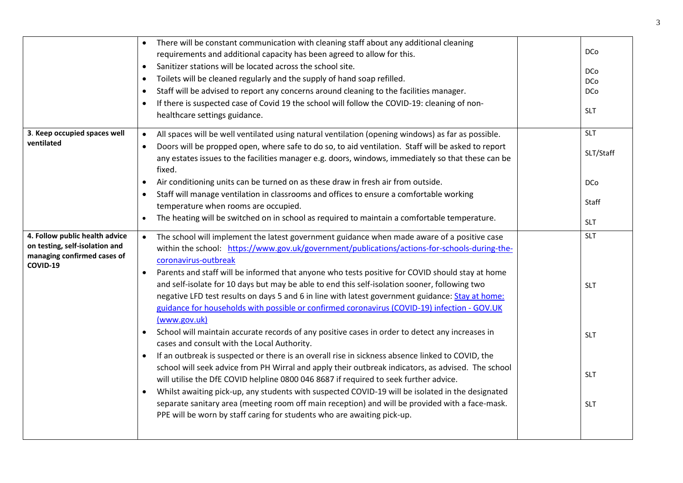|                                                                                                             | There will be constant communication with cleaning staff about any additional cleaning<br>$\bullet$                                                                                                                                                                                                                                                                                                                                                                                                                                                                                                                                                                                                                                                                                                                                                                                                                                                                                                                                                                                                                                                                                                                                                                                                                                                                                                                        |                                                                    |
|-------------------------------------------------------------------------------------------------------------|----------------------------------------------------------------------------------------------------------------------------------------------------------------------------------------------------------------------------------------------------------------------------------------------------------------------------------------------------------------------------------------------------------------------------------------------------------------------------------------------------------------------------------------------------------------------------------------------------------------------------------------------------------------------------------------------------------------------------------------------------------------------------------------------------------------------------------------------------------------------------------------------------------------------------------------------------------------------------------------------------------------------------------------------------------------------------------------------------------------------------------------------------------------------------------------------------------------------------------------------------------------------------------------------------------------------------------------------------------------------------------------------------------------------------|--------------------------------------------------------------------|
|                                                                                                             | requirements and additional capacity has been agreed to allow for this.                                                                                                                                                                                                                                                                                                                                                                                                                                                                                                                                                                                                                                                                                                                                                                                                                                                                                                                                                                                                                                                                                                                                                                                                                                                                                                                                                    | <b>DCo</b>                                                         |
|                                                                                                             | Sanitizer stations will be located across the school site.<br>$\bullet$                                                                                                                                                                                                                                                                                                                                                                                                                                                                                                                                                                                                                                                                                                                                                                                                                                                                                                                                                                                                                                                                                                                                                                                                                                                                                                                                                    | <b>DCo</b>                                                         |
|                                                                                                             | Toilets will be cleaned regularly and the supply of hand soap refilled.<br>$\bullet$                                                                                                                                                                                                                                                                                                                                                                                                                                                                                                                                                                                                                                                                                                                                                                                                                                                                                                                                                                                                                                                                                                                                                                                                                                                                                                                                       | DCo                                                                |
|                                                                                                             | Staff will be advised to report any concerns around cleaning to the facilities manager.<br>$\bullet$                                                                                                                                                                                                                                                                                                                                                                                                                                                                                                                                                                                                                                                                                                                                                                                                                                                                                                                                                                                                                                                                                                                                                                                                                                                                                                                       | <b>DCo</b>                                                         |
|                                                                                                             | If there is suspected case of Covid 19 the school will follow the COVID-19: cleaning of non-<br>$\bullet$<br>healthcare settings guidance.                                                                                                                                                                                                                                                                                                                                                                                                                                                                                                                                                                                                                                                                                                                                                                                                                                                                                                                                                                                                                                                                                                                                                                                                                                                                                 | <b>SLT</b>                                                         |
| 3. Keep occupied spaces well                                                                                | All spaces will be well ventilated using natural ventilation (opening windows) as far as possible.<br>$\bullet$                                                                                                                                                                                                                                                                                                                                                                                                                                                                                                                                                                                                                                                                                                                                                                                                                                                                                                                                                                                                                                                                                                                                                                                                                                                                                                            | <b>SLT</b>                                                         |
| ventilated                                                                                                  | Doors will be propped open, where safe to do so, to aid ventilation. Staff will be asked to report<br>any estates issues to the facilities manager e.g. doors, windows, immediately so that these can be<br>fixed.                                                                                                                                                                                                                                                                                                                                                                                                                                                                                                                                                                                                                                                                                                                                                                                                                                                                                                                                                                                                                                                                                                                                                                                                         | SLT/Staff                                                          |
|                                                                                                             | Air conditioning units can be turned on as these draw in fresh air from outside.                                                                                                                                                                                                                                                                                                                                                                                                                                                                                                                                                                                                                                                                                                                                                                                                                                                                                                                                                                                                                                                                                                                                                                                                                                                                                                                                           | <b>DCo</b>                                                         |
|                                                                                                             | Staff will manage ventilation in classrooms and offices to ensure a comfortable working                                                                                                                                                                                                                                                                                                                                                                                                                                                                                                                                                                                                                                                                                                                                                                                                                                                                                                                                                                                                                                                                                                                                                                                                                                                                                                                                    |                                                                    |
|                                                                                                             | temperature when rooms are occupied.                                                                                                                                                                                                                                                                                                                                                                                                                                                                                                                                                                                                                                                                                                                                                                                                                                                                                                                                                                                                                                                                                                                                                                                                                                                                                                                                                                                       | Staff                                                              |
|                                                                                                             | The heating will be switched on in school as required to maintain a comfortable temperature.                                                                                                                                                                                                                                                                                                                                                                                                                                                                                                                                                                                                                                                                                                                                                                                                                                                                                                                                                                                                                                                                                                                                                                                                                                                                                                                               | <b>SLT</b>                                                         |
| 4. Follow public health advice<br>on testing, self-isolation and<br>managing confirmed cases of<br>COVID-19 | The school will implement the latest government guidance when made aware of a positive case<br>within the school: https://www.gov.uk/government/publications/actions-for-schools-during-the-<br>coronavirus-outbreak<br>Parents and staff will be informed that anyone who tests positive for COVID should stay at home<br>$\bullet$<br>and self-isolate for 10 days but may be able to end this self-isolation sooner, following two<br>negative LFD test results on days 5 and 6 in line with latest government guidance: Stay at home:<br>guidance for households with possible or confirmed coronavirus (COVID-19) infection - GOV.UK<br>(www.gov.uk)<br>School will maintain accurate records of any positive cases in order to detect any increases in<br>$\bullet$<br>cases and consult with the Local Authority.<br>If an outbreak is suspected or there is an overall rise in sickness absence linked to COVID, the<br>$\bullet$<br>school will seek advice from PH Wirral and apply their outbreak indicators, as advised. The school<br>will utilise the DfE COVID helpline 0800 046 8687 if required to seek further advice.<br>Whilst awaiting pick-up, any students with suspected COVID-19 will be isolated in the designated<br>separate sanitary area (meeting room off main reception) and will be provided with a face-mask.<br>PPE will be worn by staff caring for students who are awaiting pick-up. | <b>SLT</b><br><b>SLT</b><br><b>SLT</b><br><b>SLT</b><br><b>SLT</b> |
|                                                                                                             |                                                                                                                                                                                                                                                                                                                                                                                                                                                                                                                                                                                                                                                                                                                                                                                                                                                                                                                                                                                                                                                                                                                                                                                                                                                                                                                                                                                                                            |                                                                    |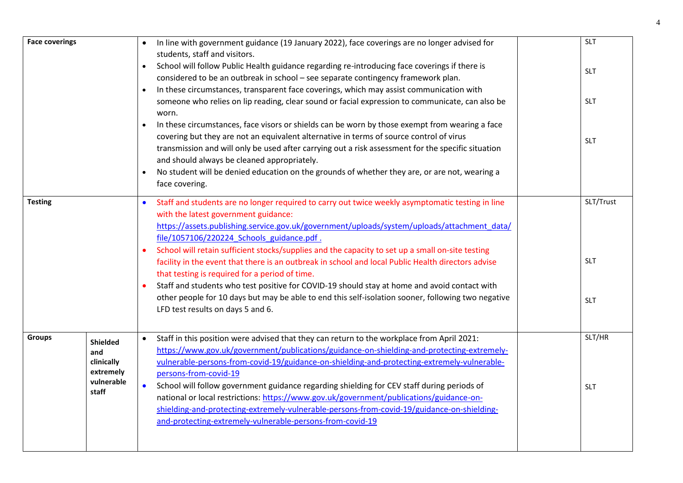| <b>Face coverings</b> |                                            |           | In line with government guidance (19 January 2022), face coverings are no longer advised for                                                                                                                                                                                                                                                                                             | <b>SLT</b> |
|-----------------------|--------------------------------------------|-----------|------------------------------------------------------------------------------------------------------------------------------------------------------------------------------------------------------------------------------------------------------------------------------------------------------------------------------------------------------------------------------------------|------------|
|                       |                                            | $\bullet$ | students, staff and visitors.<br>School will follow Public Health guidance regarding re-introducing face coverings if there is<br>considered to be an outbreak in school - see separate contingency framework plan.<br>In these circumstances, transparent face coverings, which may assist communication with                                                                           | <b>SLT</b> |
|                       |                                            |           | someone who relies on lip reading, clear sound or facial expression to communicate, can also be<br>worn.                                                                                                                                                                                                                                                                                 | <b>SLT</b> |
|                       |                                            |           | In these circumstances, face visors or shields can be worn by those exempt from wearing a face<br>covering but they are not an equivalent alternative in terms of source control of virus<br>transmission and will only be used after carrying out a risk assessment for the specific situation<br>and should always be cleaned appropriately.                                           | <b>SLT</b> |
|                       |                                            |           | No student will be denied education on the grounds of whether they are, or are not, wearing a<br>face covering.                                                                                                                                                                                                                                                                          |            |
| <b>Testing</b>        |                                            |           | Staff and students are no longer required to carry out twice weekly asymptomatic testing in line<br>with the latest government guidance:<br>https://assets.publishing.service.gov.uk/government/uploads/system/uploads/attachment_data/<br>file/1057106/220224 Schools guidance.pdf.<br>School will retain sufficient stocks/supplies and the capacity to set up a small on-site testing | SLT/Trust  |
|                       |                                            |           | facility in the event that there is an outbreak in school and local Public Health directors advise<br>that testing is required for a period of time.                                                                                                                                                                                                                                     | <b>SLT</b> |
|                       |                                            |           | Staff and students who test positive for COVID-19 should stay at home and avoid contact with<br>other people for 10 days but may be able to end this self-isolation sooner, following two negative<br>LFD test results on days 5 and 6.                                                                                                                                                  | <b>SLT</b> |
| <b>Groups</b>         | Shielded<br>and<br>clinically<br>extremely |           | Staff in this position were advised that they can return to the workplace from April 2021:<br>https://www.gov.uk/government/publications/guidance-on-shielding-and-protecting-extremely-<br>vulnerable-persons-from-covid-19/guidance-on-shielding-and-protecting-extremely-vulnerable-<br>persons-from-covid-19                                                                         | SLT/HR     |
|                       | vulnerable<br>staff                        | $\bullet$ | School will follow government guidance regarding shielding for CEV staff during periods of<br>national or local restrictions: https://www.gov.uk/government/publications/guidance-on-<br>shielding-and-protecting-extremely-vulnerable-persons-from-covid-19/guidance-on-shielding-<br>and-protecting-extremely-vulnerable-persons-from-covid-19                                         | <b>SLT</b> |
|                       |                                            |           |                                                                                                                                                                                                                                                                                                                                                                                          |            |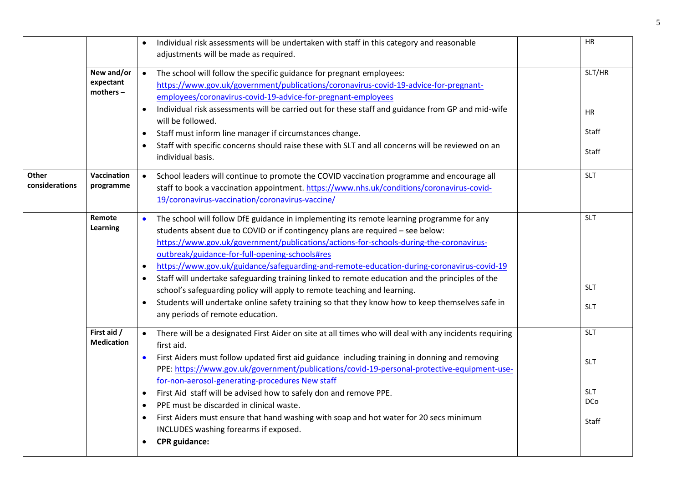|                         |                                     | Individual risk assessments will be undertaken with staff in this category and reasonable<br>adjustments will be made as required.                                                                                                                                                                                                                                                                                                                                                                                                                                                                                                                                                                                                                                                | HR                                                     |  |
|-------------------------|-------------------------------------|-----------------------------------------------------------------------------------------------------------------------------------------------------------------------------------------------------------------------------------------------------------------------------------------------------------------------------------------------------------------------------------------------------------------------------------------------------------------------------------------------------------------------------------------------------------------------------------------------------------------------------------------------------------------------------------------------------------------------------------------------------------------------------------|--------------------------------------------------------|--|
|                         | New and/or<br>expectant<br>mothers- | The school will follow the specific guidance for pregnant employees:<br>https://www.gov.uk/government/publications/coronavirus-covid-19-advice-for-pregnant-<br>employees/coronavirus-covid-19-advice-for-pregnant-employees<br>Individual risk assessments will be carried out for these staff and guidance from GP and mid-wife<br>$\bullet$<br>will be followed.<br>Staff must inform line manager if circumstances change.<br>$\bullet$<br>Staff with specific concerns should raise these with SLT and all concerns will be reviewed on an<br>individual basis.                                                                                                                                                                                                              | SLT/HR<br>ΗR<br>Staff<br>Staff                         |  |
| Other<br>considerations | Vaccination<br>programme            | School leaders will continue to promote the COVID vaccination programme and encourage all<br>$\bullet$<br>staff to book a vaccination appointment. https://www.nhs.uk/conditions/coronavirus-covid-<br>19/coronavirus-vaccination/coronavirus-vaccine/                                                                                                                                                                                                                                                                                                                                                                                                                                                                                                                            | <b>SLT</b>                                             |  |
|                         | Remote<br>Learning                  | The school will follow DfE guidance in implementing its remote learning programme for any<br>$\bullet$<br>students absent due to COVID or if contingency plans are required - see below:<br>https://www.gov.uk/government/publications/actions-for-schools-during-the-coronavirus-<br>outbreak/guidance-for-full-opening-schools#res<br>https://www.gov.uk/guidance/safeguarding-and-remote-education-during-coronavirus-covid-19<br>Staff will undertake safeguarding training linked to remote education and the principles of the<br>$\bullet$<br>school's safeguarding policy will apply to remote teaching and learning.<br>Students will undertake online safety training so that they know how to keep themselves safe in<br>$\bullet$<br>any periods of remote education. | <b>SLT</b><br><b>SLT</b><br><b>SLT</b>                 |  |
|                         | First aid /<br><b>Medication</b>    | There will be a designated First Aider on site at all times who will deal with any incidents requiring<br>$\bullet$<br>first aid.<br>First Aiders must follow updated first aid guidance including training in donning and removing<br>$\bullet$<br>PPE: https://www.gov.uk/government/publications/covid-19-personal-protective-equipment-use-<br>for-non-aerosol-generating-procedures New staff<br>First Aid staff will be advised how to safely don and remove PPE.<br>$\bullet$<br>PPE must be discarded in clinical waste.<br>$\bullet$<br>First Aiders must ensure that hand washing with soap and hot water for 20 secs minimum<br>INCLUDES washing forearms if exposed.                                                                                                  | <b>SLT</b><br><b>SLT</b><br><b>SLT</b><br>DCo<br>Staff |  |
|                         |                                     | <b>CPR</b> guidance:                                                                                                                                                                                                                                                                                                                                                                                                                                                                                                                                                                                                                                                                                                                                                              |                                                        |  |